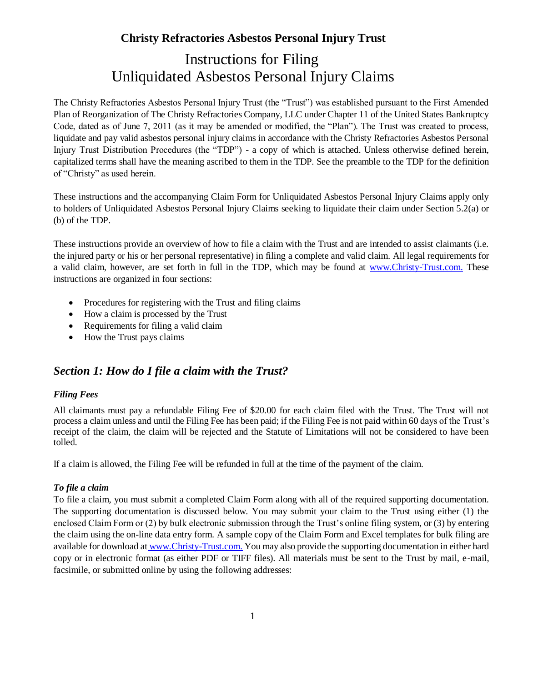# Instructions for Filing Unliquidated Asbestos Personal Injury Claims

The Christy Refractories Asbestos Personal Injury Trust (the "Trust") was established pursuant to the First Amended Plan of Reorganization of The Christy Refractories Company, LLC under Chapter 11 of the United States Bankruptcy Code, dated as of June 7, 2011 (as it may be amended or modified, the "Plan"). The Trust was created to process, liquidate and pay valid asbestos personal injury claims in accordance with the Christy Refractories Asbestos Personal Injury Trust Distribution Procedures (the "TDP") - a copy of which is attached. Unless otherwise defined herein, capitalized terms shall have the meaning ascribed to them in the TDP. See the preamble to the TDP for the definition of "Christy" as used herein.

These instructions and the accompanying Claim Form for Unliquidated Asbestos Personal Injury Claims apply only to holders of Unliquidated Asbestos Personal Injury Claims seeking to liquidate their claim under Section 5.2(a) or (b) of the TDP.

These instructions provide an overview of how to file a claim with the Trust and are intended to assist claimants (i.e. the injured party or his or her personal representative) in filing a complete and valid claim. All legal requirements for a valid claim, however, are set forth in full in the TDP, which may be found at [www.Christy-Trust.com.](http://www.christy-trust.com/) These instructions are organized in four sections:

- Procedures for registering with the Trust and filing claims
- How a claim is processed by the Trust
- Requirements for filing a valid claim
- How the Trust pays claims

## *Section 1: How do I file a claim with the Trust?*

#### *Filing Fees*

All claimants must pay a refundable Filing Fee of \$20.00 for each claim filed with the Trust. The Trust will not process a claim unless and until the Filing Fee has been paid; if the Filing Fee is not paid within 60 days of the Trust's receipt of the claim, the claim will be rejected and the Statute of Limitations will not be considered to have been tolled.

If a claim is allowed, the Filing Fee will be refunded in full at the time of the payment of the claim.

#### *To file a claim*

To file a claim, you must submit a completed Claim Form along with all of the required supporting documentation. The supporting documentation is discussed below. You may submit your claim to the Trust using either (1) the enclosed Claim Form or (2) by bulk electronic submission through the Trust's online filing system, or (3) by entering the claim using the on-line data entry form. A sample copy of the Claim Form and Excel templates for bulk filing are available for download at [www.Christy-Trust.com.](http://www.christy-trust.com/) You may also provide the supporting documentation in either hard copy or in electronic format (as either PDF or TIFF files). All materials must be sent to the Trust by mail, e-mail, facsimile, or submitted online by using the following addresses: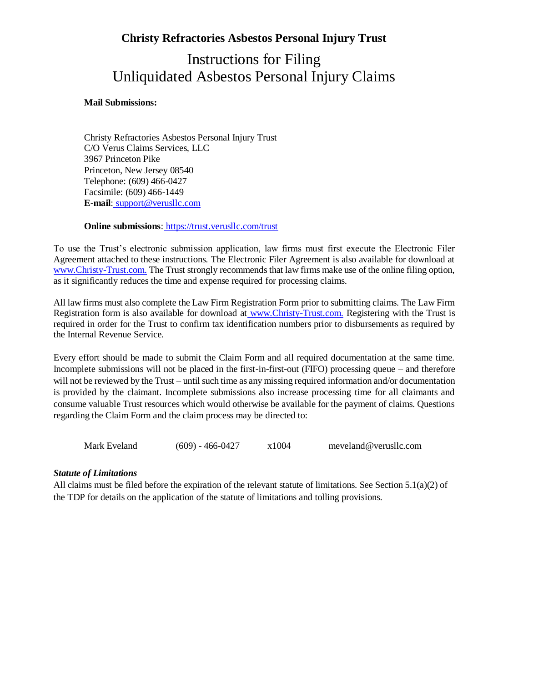## Instructions for Filing Unliquidated Asbestos Personal Injury Claims

#### **Mail Submissions:**

Christy Refractories Asbestos Personal Injury Trust C/O Verus Claims Services, LLC 3967 Princeton Pike Princeton, New Jersey 08540 Telephone: (609) 466-0427 Facsimile: (609) 466-1449 **E-mail**: [support@verusllc.com](mailto:support@verusllc.com)

#### **Online submissions**: <https://trust.verusllc.com/trust>

To use the Trust's electronic submission application, law firms must first execute the Electronic Filer Agreement attached to these instructions. The Electronic Filer Agreement is also available for download at [www.Christy-Trust.com.](http://www.christy-trust.com/) The Trust strongly recommends that law firms make use of the online filing option, as it significantly reduces the time and expense required for processing claims.

All law firms must also complete the Law Firm Registration Form prior to submitting claims. The Law Firm Registration form is also available for download at [www.Christy-Trust.com.](http://www.christy-trust.com/) Registering with the Trust is required in order for the Trust to confirm tax identification numbers prior to disbursements as required by the Internal Revenue Service.

Every effort should be made to submit the Claim Form and all required documentation at the same time. Incomplete submissions will not be placed in the first-in-first-out (FIFO) processing queue – and therefore will not be reviewed by the Trust – until such time as any missing required information and/or documentation is provided by the claimant. Incomplete submissions also increase processing time for all claimants and consume valuable Trust resources which would otherwise be available for the payment of claims. Questions regarding the Claim Form and the claim process may be directed to:

Mark Eveland (609) - 466-0427 x1004 meveland@verusllc.com

#### *Statute of Limitations*

All claims must be filed before the expiration of the relevant statute of limitations. See Section 5.1(a)(2) of the TDP for details on the application of the statute of limitations and tolling provisions.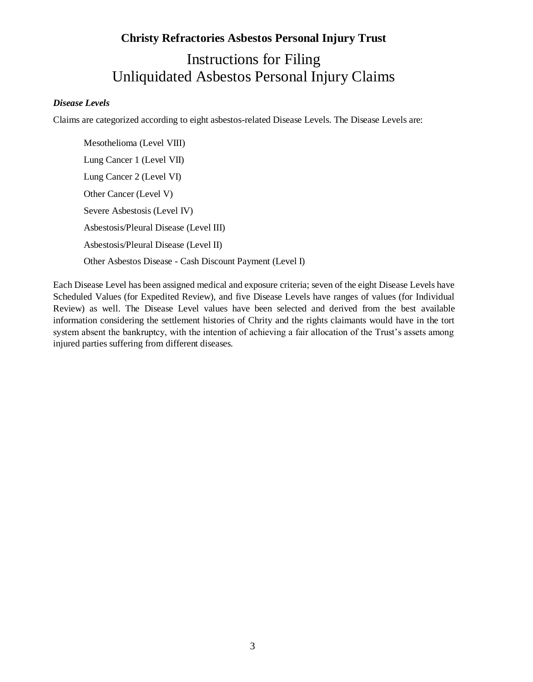# **Christy Refractories Asbestos Personal Injury Trust** Instructions for Filing Unliquidated Asbestos Personal Injury Claims

#### *Disease Levels*

Claims are categorized according to eight asbestos-related Disease Levels. The Disease Levels are:

Mesothelioma (Level VIII) Lung Cancer 1 (Level VII) Lung Cancer 2 (Level VI) Other Cancer (Level V) Severe Asbestosis (Level IV) Asbestosis/Pleural Disease (Level III) Asbestosis/Pleural Disease (Level II) Other Asbestos Disease - Cash Discount Payment (Level I)

Each Disease Level has been assigned medical and exposure criteria; seven of the eight Disease Levels have Scheduled Values (for Expedited Review), and five Disease Levels have ranges of values (for Individual Review) as well. The Disease Level values have been selected and derived from the best available information considering the settlement histories of Chrity and the rights claimants would have in the tort system absent the bankruptcy, with the intention of achieving a fair allocation of the Trust's assets among injured parties suffering from different diseases.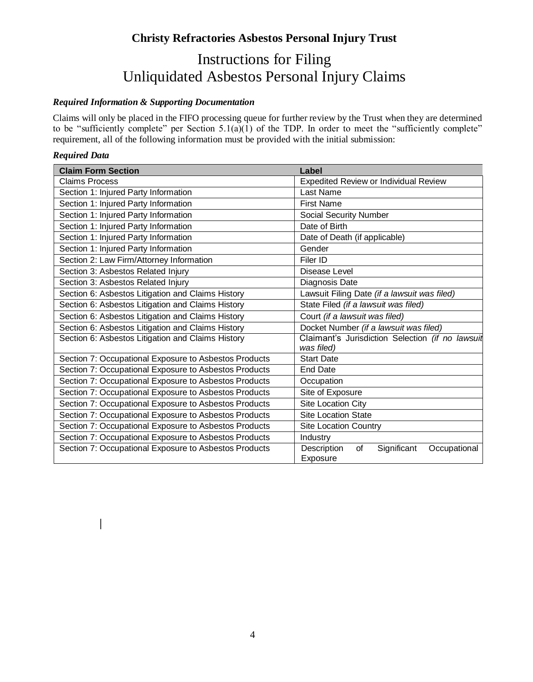# Instructions for Filing Unliquidated Asbestos Personal Injury Claims

### *Required Information & Supporting Documentation*

Claims will only be placed in the FIFO processing queue for further review by the Trust when they are determined to be "sufficiently complete" per Section  $5.1(a)(1)$  of the TDP. In order to meet the "sufficiently complete" requirement, all of the following information must be provided with the initial submission:

#### *Required Data*

 $\overline{\phantom{a}}$ 

| <b>Claim Form Section</b>                             | Label                                                        |
|-------------------------------------------------------|--------------------------------------------------------------|
| <b>Claims Process</b>                                 | <b>Expedited Review or Individual Review</b>                 |
| Section 1: Injured Party Information                  | Last Name                                                    |
| Section 1: Injured Party Information                  | <b>First Name</b>                                            |
| Section 1: Injured Party Information                  | <b>Social Security Number</b>                                |
| Section 1: Injured Party Information                  | Date of Birth                                                |
| Section 1: Injured Party Information                  | Date of Death (if applicable)                                |
| Section 1: Injured Party Information                  | Gender                                                       |
| Section 2: Law Firm/Attorney Information              | Filer ID                                                     |
| Section 3: Asbestos Related Injury                    | Disease Level                                                |
| Section 3: Asbestos Related Injury                    | Diagnosis Date                                               |
| Section 6: Asbestos Litigation and Claims History     | Lawsuit Filing Date (if a lawsuit was filed)                 |
| Section 6: Asbestos Litigation and Claims History     | State Filed (if a lawsuit was filed)                         |
| Section 6: Asbestos Litigation and Claims History     | Court (if a lawsuit was filed)                               |
| Section 6: Asbestos Litigation and Claims History     | Docket Number (if a lawsuit was filed)                       |
| Section 6: Asbestos Litigation and Claims History     | Claimant's Jurisdiction Selection (if no lawsuit             |
|                                                       | was filed)                                                   |
| Section 7: Occupational Exposure to Asbestos Products | <b>Start Date</b>                                            |
| Section 7: Occupational Exposure to Asbestos Products | <b>End Date</b>                                              |
| Section 7: Occupational Exposure to Asbestos Products | Occupation                                                   |
| Section 7: Occupational Exposure to Asbestos Products | Site of Exposure                                             |
| Section 7: Occupational Exposure to Asbestos Products | Site Location City                                           |
| Section 7: Occupational Exposure to Asbestos Products | <b>Site Location State</b>                                   |
| Section 7: Occupational Exposure to Asbestos Products | <b>Site Location Country</b>                                 |
| Section 7: Occupational Exposure to Asbestos Products | Industry                                                     |
| Section 7: Occupational Exposure to Asbestos Products | Description<br>of<br>Significant<br>Occupational<br>Exposure |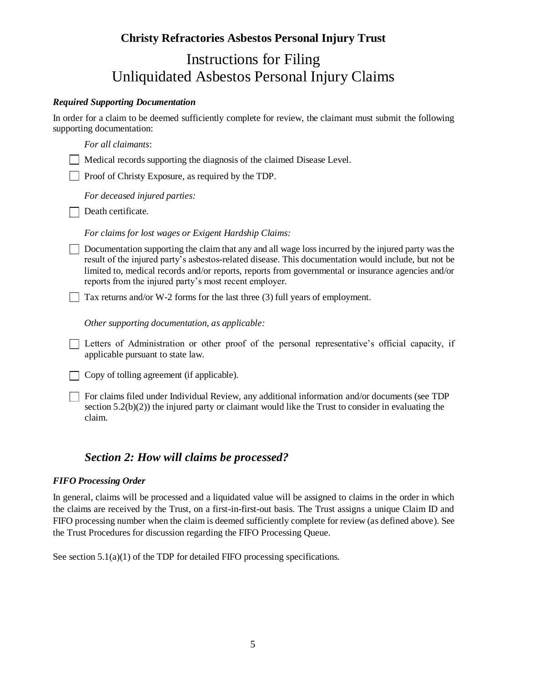# Instructions for Filing Unliquidated Asbestos Personal Injury Claims

#### *Required Supporting Documentation*

In order for a claim to be deemed sufficiently complete for review, the claimant must submit the following supporting documentation:

| For all claimants:                                                                                                                                                                                                                                                                                                                                                          |
|-----------------------------------------------------------------------------------------------------------------------------------------------------------------------------------------------------------------------------------------------------------------------------------------------------------------------------------------------------------------------------|
| Medical records supporting the diagnosis of the claimed Disease Level.                                                                                                                                                                                                                                                                                                      |
| Proof of Christy Exposure, as required by the TDP.                                                                                                                                                                                                                                                                                                                          |
| For deceased injured parties:                                                                                                                                                                                                                                                                                                                                               |
| Death certificate.                                                                                                                                                                                                                                                                                                                                                          |
| For claims for lost wages or Exigent Hardship Claims:                                                                                                                                                                                                                                                                                                                       |
| Documentation supporting the claim that any and all wage loss incurred by the injured party was the<br>result of the injured party's asbestos-related disease. This documentation would include, but not be<br>limited to, medical records and/or reports, reports from governmental or insurance agencies and/or<br>reports from the injured party's most recent employer. |
| Tax returns and/or W-2 forms for the last three (3) full years of employment.                                                                                                                                                                                                                                                                                               |
| Other supporting documentation, as applicable:                                                                                                                                                                                                                                                                                                                              |
| Letters of Administration or other proof of the personal representative's official capacity, if<br>applicable pursuant to state law.                                                                                                                                                                                                                                        |
| Copy of tolling agreement (if applicable).                                                                                                                                                                                                                                                                                                                                  |
| For claims filed under Individual Review, any additional information and/or documents (see TDP<br>section $5.2(b)(2)$ ) the injured party or claimant would like the Trust to consider in evaluating the<br>claim.                                                                                                                                                          |

## *Section 2: How will claims be processed?*

#### *FIFO Processing Order*

In general, claims will be processed and a liquidated value will be assigned to claims in the order in which the claims are received by the Trust, on a first-in-first-out basis. The Trust assigns a unique Claim ID and FIFO processing number when the claim is deemed sufficiently complete for review (as defined above). See the Trust Procedures for discussion regarding the FIFO Processing Queue.

See section  $5.1(a)(1)$  of the TDP for detailed FIFO processing specifications.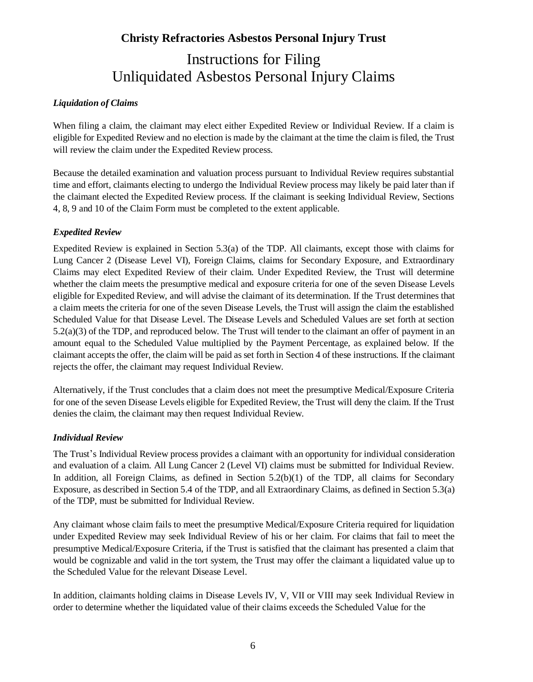# Instructions for Filing Unliquidated Asbestos Personal Injury Claims

#### *Liquidation of Claims*

When filing a claim, the claimant may elect either Expedited Review or Individual Review. If a claim is eligible for Expedited Review and no election is made by the claimant at the time the claim is filed, the Trust will review the claim under the Expedited Review process.

Because the detailed examination and valuation process pursuant to Individual Review requires substantial time and effort, claimants electing to undergo the Individual Review process may likely be paid later than if the claimant elected the Expedited Review process. If the claimant is seeking Individual Review, Sections 4, 8, 9 and 10 of the Claim Form must be completed to the extent applicable.

#### *Expedited Review*

Expedited Review is explained in Section 5.3(a) of the TDP. All claimants, except those with claims for Lung Cancer 2 (Disease Level VI), Foreign Claims, claims for Secondary Exposure, and Extraordinary Claims may elect Expedited Review of their claim. Under Expedited Review, the Trust will determine whether the claim meets the presumptive medical and exposure criteria for one of the seven Disease Levels eligible for Expedited Review, and will advise the claimant of its determination. If the Trust determines that a claim meets the criteria for one of the seven Disease Levels, the Trust will assign the claim the established Scheduled Value for that Disease Level. The Disease Levels and Scheduled Values are set forth at section 5.2(a)(3) of the TDP, and reproduced below. The Trust will tender to the claimant an offer of payment in an amount equal to the Scheduled Value multiplied by the Payment Percentage, as explained below. If the claimant accepts the offer, the claim will be paid as set forth in Section 4 of these instructions. If the claimant rejects the offer, the claimant may request Individual Review.

Alternatively, if the Trust concludes that a claim does not meet the presumptive Medical/Exposure Criteria for one of the seven Disease Levels eligible for Expedited Review, the Trust will deny the claim. If the Trust denies the claim, the claimant may then request Individual Review.

#### *Individual Review*

The Trust's Individual Review process provides a claimant with an opportunity for individual consideration and evaluation of a claim. All Lung Cancer 2 (Level VI) claims must be submitted for Individual Review. In addition, all Foreign Claims, as defined in Section 5.2(b)(1) of the TDP, all claims for Secondary Exposure, as described in Section 5.4 of the TDP, and all Extraordinary Claims, as defined in Section 5.3(a) of the TDP, must be submitted for Individual Review.

Any claimant whose claim fails to meet the presumptive Medical/Exposure Criteria required for liquidation under Expedited Review may seek Individual Review of his or her claim. For claims that fail to meet the presumptive Medical/Exposure Criteria, if the Trust is satisfied that the claimant has presented a claim that would be cognizable and valid in the tort system, the Trust may offer the claimant a liquidated value up to the Scheduled Value for the relevant Disease Level.

In addition, claimants holding claims in Disease Levels IV, V, VII or VIII may seek Individual Review in order to determine whether the liquidated value of their claims exceeds the Scheduled Value for the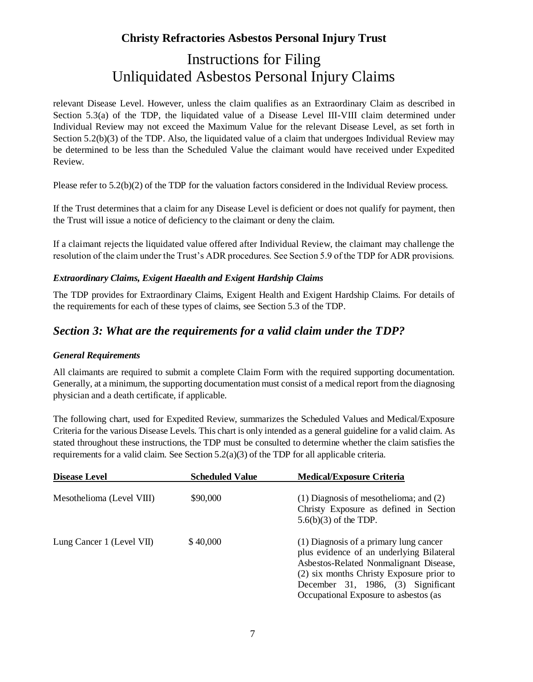# Instructions for Filing Unliquidated Asbestos Personal Injury Claims

relevant Disease Level. However, unless the claim qualifies as an Extraordinary Claim as described in Section 5.3(a) of the TDP, the liquidated value of a Disease Level III-VIII claim determined under Individual Review may not exceed the Maximum Value for the relevant Disease Level, as set forth in Section 5.2(b)(3) of the TDP. Also, the liquidated value of a claim that undergoes Individual Review may be determined to be less than the Scheduled Value the claimant would have received under Expedited Review.

Please refer to 5.2(b)(2) of the TDP for the valuation factors considered in the Individual Review process.

If the Trust determines that a claim for any Disease Level is deficient or does not qualify for payment, then the Trust will issue a notice of deficiency to the claimant or deny the claim.

If a claimant rejects the liquidated value offered after Individual Review, the claimant may challenge the resolution of the claim under the Trust's ADR procedures. See Section 5.9 of the TDP for ADR provisions.

#### *Extraordinary Claims, Exigent Haealth and Exigent Hardship Claims*

The TDP provides for Extraordinary Claims, Exigent Health and Exigent Hardship Claims. For details of the requirements for each of these types of claims, see Section 5.3 of the TDP.

## *Section 3: What are the requirements for a valid claim under the TDP?*

#### *General Requirements*

All claimants are required to submit a complete Claim Form with the required supporting documentation. Generally, at a minimum, the supporting documentation must consist of a medical report from the diagnosing physician and a death certificate, if applicable.

The following chart, used for Expedited Review, summarizes the Scheduled Values and Medical/Exposure Criteria for the various Disease Levels. This chart is only intended as a general guideline for a valid claim. As stated throughout these instructions, the TDP must be consulted to determine whether the claim satisfies the requirements for a valid claim. See Section  $5.2(a)(3)$  of the TDP for all applicable criteria.

| <b>Disease Level</b>      | <b>Scheduled Value</b> | <b>Medical/Exposure Criteria</b>                                                                                                                                                                                                                        |
|---------------------------|------------------------|---------------------------------------------------------------------------------------------------------------------------------------------------------------------------------------------------------------------------------------------------------|
| Mesothelioma (Level VIII) | \$90,000               | $(1)$ Diagnosis of mesothelioma; and $(2)$<br>Christy Exposure as defined in Section<br>$5.6(b)(3)$ of the TDP.                                                                                                                                         |
| Lung Cancer 1 (Level VII) | \$40,000               | (1) Diagnosis of a primary lung cancer<br>plus evidence of an underlying Bilateral<br>Asbestos-Related Nonmalignant Disease,<br>(2) six months Christy Exposure prior to<br>December 31, 1986, (3) Significant<br>Occupational Exposure to asbestos (as |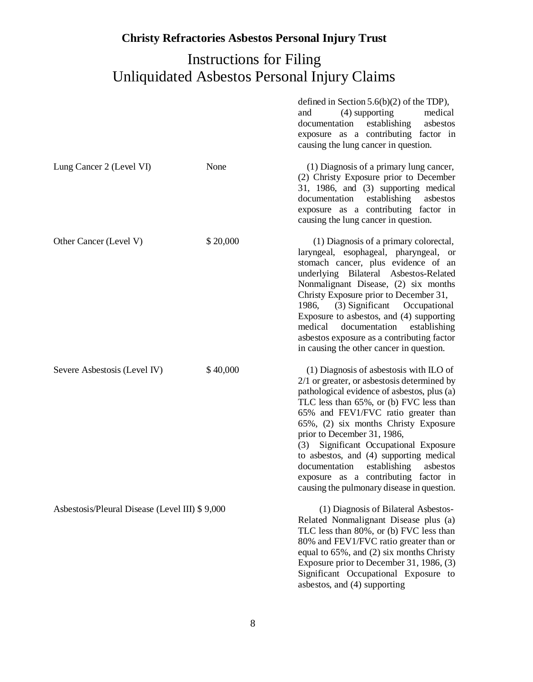# Instructions for Filing Unliquidated Asbestos Personal Injury Claims

|                                                |          | defined in Section $5.6(b)(2)$ of the TDP),<br>(4) supporting<br>medical<br>and<br>establishing<br>asbestos<br>documentation<br>exposure as a contributing factor in<br>causing the lung cancer in question.                                                                                                                                                                                                                                                                                                                 |
|------------------------------------------------|----------|------------------------------------------------------------------------------------------------------------------------------------------------------------------------------------------------------------------------------------------------------------------------------------------------------------------------------------------------------------------------------------------------------------------------------------------------------------------------------------------------------------------------------|
| Lung Cancer 2 (Level VI)                       | None     | (1) Diagnosis of a primary lung cancer,<br>(2) Christy Exposure prior to December<br>31, 1986, and (3) supporting medical<br>establishing<br>documentation<br>asbestos<br>exposure as a contributing factor in<br>causing the lung cancer in question.                                                                                                                                                                                                                                                                       |
| Other Cancer (Level V)                         | \$20,000 | (1) Diagnosis of a primary colorectal,<br>laryngeal, esophageal, pharyngeal, or<br>stomach cancer, plus evidence of an<br>underlying Bilateral Asbestos-Related<br>Nonmalignant Disease, (2) six months<br>Christy Exposure prior to December 31,<br>1986,<br>$(3)$ Significant<br>Occupational<br>Exposure to asbestos, and (4) supporting<br>medical<br>documentation<br>establishing<br>asbestos exposure as a contributing factor<br>in causing the other cancer in question.                                            |
| Severe Asbestosis (Level IV)                   | \$40,000 | $(1)$ Diagnosis of asbestosis with ILO of<br>$2/1$ or greater, or asbestosis determined by<br>pathological evidence of asbestos, plus (a)<br>TLC less than 65%, or (b) FVC less than<br>65% and FEV1/FVC ratio greater than<br>65%, (2) six months Christy Exposure<br>prior to December 31, 1986,<br>Significant Occupational Exposure<br>(3)<br>to asbestos, and (4) supporting medical<br>documentation<br>establishing<br>asbestos<br>exposure as a contributing factor in<br>causing the pulmonary disease in question. |
| Asbestosis/Pleural Disease (Level III) \$9,000 |          | (1) Diagnosis of Bilateral Asbestos-<br>Related Nonmalignant Disease plus (a)<br>TLC less than 80%, or (b) FVC less than<br>80% and FEV1/FVC ratio greater than or<br>equal to 65%, and (2) six months Christy<br>Exposure prior to December 31, 1986, (3)<br>Significant Occupational Exposure to<br>asbestos, and (4) supporting                                                                                                                                                                                           |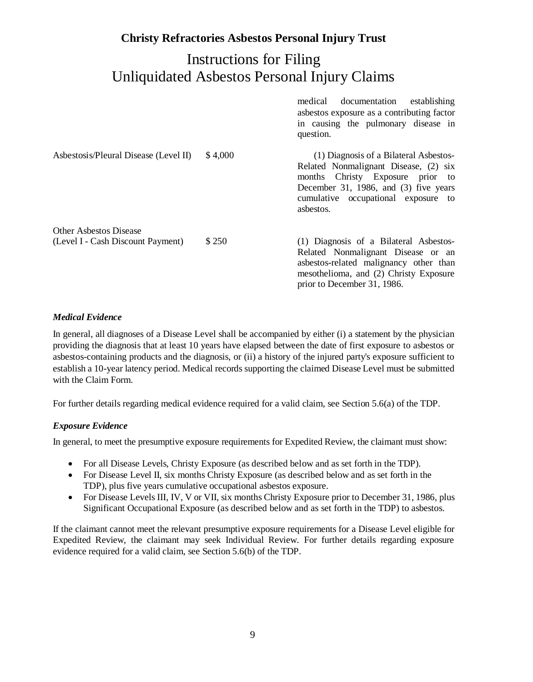## Instructions for Filing Unliquidated Asbestos Personal Injury Claims

|                                                                    |         | medical<br>documentation<br>establishing<br>asbestos exposure as a contributing factor<br>in causing the pulmonary disease in<br>question.                                                                       |
|--------------------------------------------------------------------|---------|------------------------------------------------------------------------------------------------------------------------------------------------------------------------------------------------------------------|
| Asbestosis/Pleural Disease (Level II)                              | \$4,000 | (1) Diagnosis of a Bilateral Asbestos-<br>Related Nonmalignant Disease, (2) six<br>months Christy Exposure prior to<br>December 31, 1986, and (3) five years<br>cumulative occupational exposure to<br>asbestos. |
| <b>Other Asbestos Disease</b><br>(Level I - Cash Discount Payment) | \$250   | (1) Diagnosis of a Bilateral Asbestos-<br>Related Nonmalignant Disease or an<br>asbestos-related malignancy other than<br>mesothelioma, and (2) Christy Exposure<br>prior to December 31, 1986.                  |

#### *Medical Evidence*

In general, all diagnoses of a Disease Level shall be accompanied by either (i) a statement by the physician providing the diagnosis that at least 10 years have elapsed between the date of first exposure to asbestos or asbestos-containing products and the diagnosis, or (ii) a history of the injured party's exposure sufficient to establish a 10-year latency period. Medical records supporting the claimed Disease Level must be submitted with the Claim Form.

For further details regarding medical evidence required for a valid claim, see Section 5.6(a) of the TDP.

#### *Exposure Evidence*

In general, to meet the presumptive exposure requirements for Expedited Review, the claimant must show:

- For all Disease Levels, Christy Exposure (as described below and as set forth in the TDP).
- For Disease Level II, six months Christy Exposure (as described below and as set forth in the TDP), plus five years cumulative occupational asbestos exposure.
- For Disease Levels III, IV, V or VII, six months Christy Exposure prior to December 31, 1986, plus Significant Occupational Exposure (as described below and as set forth in the TDP) to asbestos.

If the claimant cannot meet the relevant presumptive exposure requirements for a Disease Level eligible for Expedited Review, the claimant may seek Individual Review. For further details regarding exposure evidence required for a valid claim, see Section 5.6(b) of the TDP.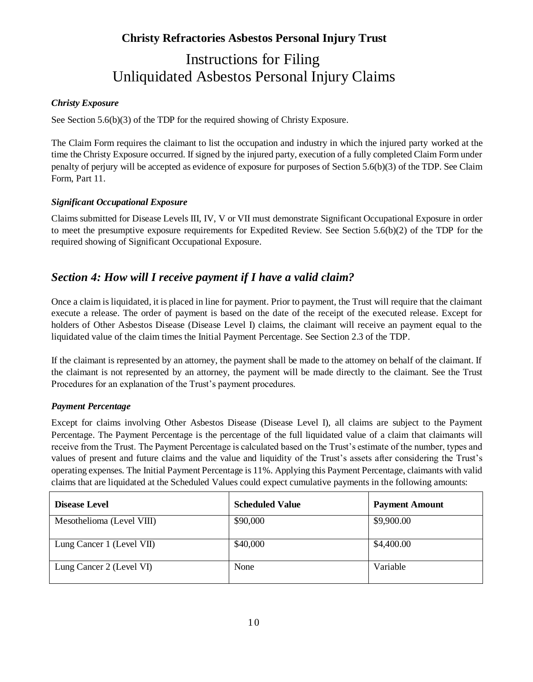# Instructions for Filing Unliquidated Asbestos Personal Injury Claims

#### *Christy Exposure*

See Section 5.6(b)(3) of the TDP for the required showing of Christy Exposure.

The Claim Form requires the claimant to list the occupation and industry in which the injured party worked at the time the Christy Exposure occurred. If signed by the injured party, execution of a fully completed Claim Form under penalty of perjury will be accepted as evidence of exposure for purposes of Section 5.6(b)(3) of the TDP. See Claim Form, Part 11.

#### *Significant Occupational Exposure*

Claims submitted for Disease Levels III, IV, V or VII must demonstrate Significant Occupational Exposure in order to meet the presumptive exposure requirements for Expedited Review. See Section 5.6(b)(2) of the TDP for the required showing of Significant Occupational Exposure.

## *Section 4: How will I receive payment if I have a valid claim?*

Once a claim is liquidated, it is placed in line for payment. Prior to payment, the Trust will require that the claimant execute a release. The order of payment is based on the date of the receipt of the executed release. Except for holders of Other Asbestos Disease (Disease Level I) claims, the claimant will receive an payment equal to the liquidated value of the claim times the Initial Payment Percentage. See Section 2.3 of the TDP.

If the claimant is represented by an attorney, the payment shall be made to the attorney on behalf of the claimant. If the claimant is not represented by an attorney, the payment will be made directly to the claimant. See the Trust Procedures for an explanation of the Trust's payment procedures.

#### *Payment Percentage*

Except for claims involving Other Asbestos Disease (Disease Level I), all claims are subject to the Payment Percentage. The Payment Percentage is the percentage of the full liquidated value of a claim that claimants will receive from the Trust. The Payment Percentage is calculated based on the Trust's estimate of the number, types and values of present and future claims and the value and liquidity of the Trust's assets after considering the Trust's operating expenses. The Initial Payment Percentage is 11%. Applying this Payment Percentage, claimants with valid claims that are liquidated at the Scheduled Values could expect cumulative payments in the following amounts:

| <b>Disease Level</b>      | <b>Scheduled Value</b> | <b>Payment Amount</b> |
|---------------------------|------------------------|-----------------------|
| Mesothelioma (Level VIII) | \$90,000               | \$9,900.00            |
| Lung Cancer 1 (Level VII) | \$40,000               | \$4,400.00            |
| Lung Cancer 2 (Level VI)  | None                   | Variable              |